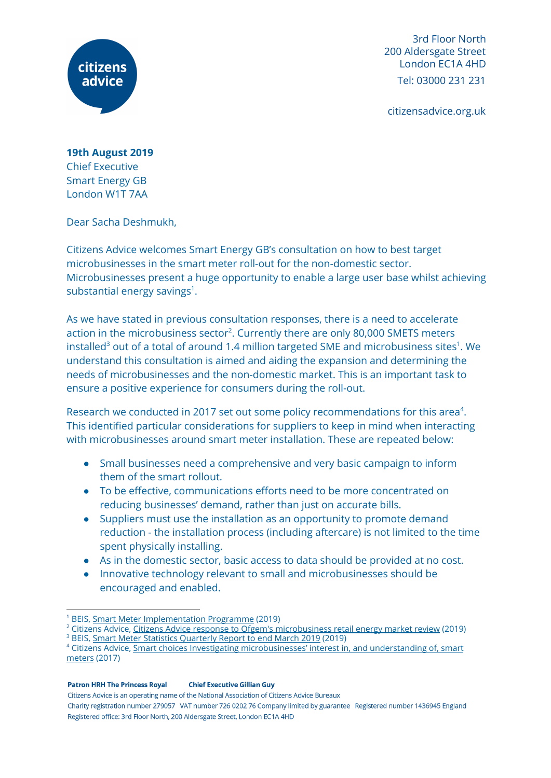

3rd Floor North 200 Aldersgate Street London EC1A 4HD Tel: 03000 231 231

citizensadvice.org.uk

**19th August 2019** Chief Executive Smart Energy GB London W1T 7AA

Dear Sacha Deshmukh,

Citizens Advice welcomes Smart Energy GB's consultation on how to best target microbusinesses in the smart meter roll-out for the non-domestic sector. Microbusinesses present a huge opportunity to enable a large user base whilst achieving substantial energy savings $1$ .

As we have stated in previous consultation responses, there is a need to accelerate action in the microbusiness sector<sup>2</sup>. Currently there are only 80,000 SMETS meters installed $^3$  out of a total of around 1.4 million targeted SME and microbusiness sites $^1$ . We understand this consultation is aimed and aiding the expansion and determining the needs of microbusinesses and the non-domestic market. This is an important task to ensure a positive experience for consumers during the roll-out.

Research we conducted in 2017 set out some policy recommendations for this area<sup>4</sup>. This identified particular considerations for suppliers to keep in mind when interacting with microbusinesses around smart meter installation. These are repeated below:

- Small businesses need a comprehensive and very basic campaign to inform them of the smart rollout.
- To be effective, communications efforts need to be more concentrated on reducing businesses' demand, rather than just on accurate bills.
- Suppliers must use the installation as an opportunity to promote demand reduction - the installation process (including aftercare) is not limited to the time spent physically installing.
- As in the domestic sector, basic access to data should be provided at no cost.
- Innovative technology relevant to small and microbusinesses should be encouraged and enabled.

**Patron HRH The Princess Royal Chief Executive Gillian Guy** 

Citizens Advice is an operating name of the National Association of Citizens Advice Bureaux

<sup>1</sup> BEIS, [Smart Meter Implementation Programme](https://assets.publishing.service.gov.uk/government/uploads/system/uploads/attachment_data/file/800872/Non-domestic-benefits-realisation-Govt-Response.pdf) (2019)

<sup>&</sup>lt;sup>2</sup> Citizens Advice, <u>Citizens Advice response to Ofgem's microbusiness retail energy market review</u> (2019) <sup>3</sup> BEIS, <u>Smart Meter Statistics Quarterly Report to end March 2019</u> (2019)

<sup>&</sup>lt;sup>4</sup> Citizens Advice, <u>Smart choices Investigating microbusinesses' interest in, and understanding of, smart</u> [meters](https://www.citizensadvice.org.uk/Global/CitizensAdvice/Energy/Smart%20microbusiness%20report%20(1).pdf) (2017)

Charity registration number 279057 VAT number 726 0202 76 Company limited by guarantee Registered number 1436945 England Registered office: 3rd Floor North, 200 Aldersgate Street, London EC1A 4HD